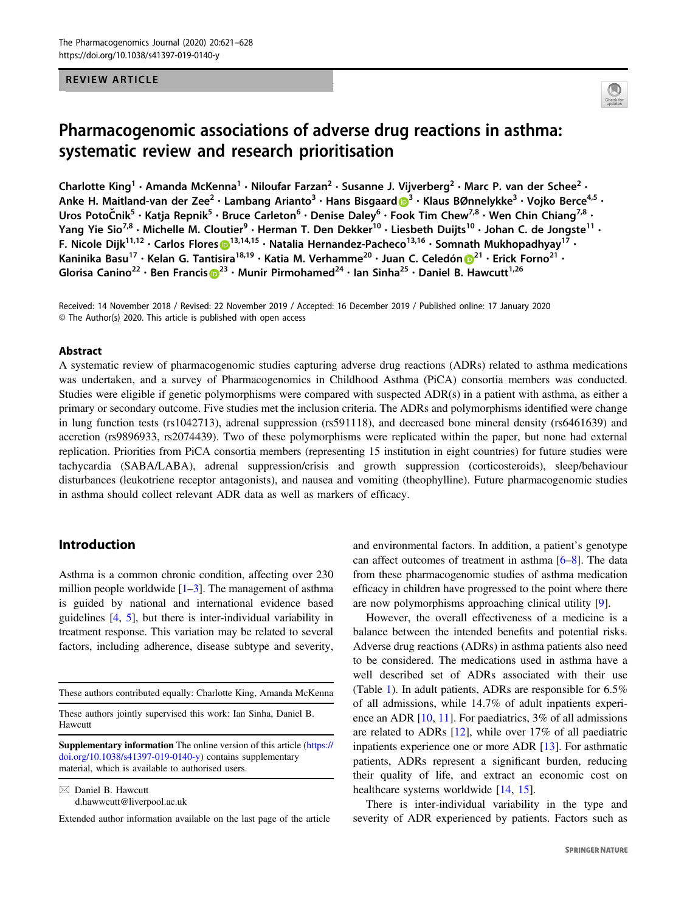#### REVIEW ARTICLE



# Pharmacogenomic associations of adverse drug reactions in asthma: systematic review and research prioritisation

Charlotte King<sup>1</sup> • Amanda McKenna<sup>1</sup> • Niloufar Farzan<sup>2</sup> • Susanne J. Vijverberg<sup>2</sup> • Marc P. van der Schee<sup>2</sup> • Anke H. Maitland-van der Zee<sup>2</sup> • Lambang Arianto<sup>[3](http://orcid.org/0000-0003-4131-7592)</sup> • Hans Bisgaard D<sup>3</sup> • Klaus BØnnelykke<sup>3</sup> • Vojko Berce<sup>4,5</sup> • Uros PotoČnik<sup>5</sup> • Katja Repnik<sup>5</sup> • Bruce Carleton<sup>6</sup> • Denise Daley<sup>6</sup> • Fook Tim Chew<sup>7,8</sup> • Wen Chin Chiang<sup>7,8</sup> • Yang Yie Sio<sup>7,8</sup> • Michelle M. Cloutier<sup>9</sup> • Herman T. Den Dekker<sup>10</sup> • Liesbeth Duijts<sup>10</sup> • Johan C. de Jongste<sup>11</sup> • F. Nicole Dijk<sup>[1](http://orcid.org/0000-0001-5352-069X)1,12</sup> • Carlos Flores D<sup>13,14,15</sup> • Natalia Hernandez-Pacheco<sup>13,16</sup> • Somnath Mukhopadhyay<sup>17</sup> • Ka[n](http://orcid.org/0000-0002-6139-5320)inika Basu<sup>17</sup> • Kelan G. Tantisira<sup>18,19</sup> • Katia M. Verhamme<sup>[2](http://orcid.org/0000-0002-6139-5320)0</sup> • Juan C. Celedón D<sup>21</sup> • Erick Forno<sup>21</sup> • Glori[s](http://orcid.org/0000-0002-2130-5976)a Canino<sup>[2](http://orcid.org/0000-0002-2130-5976)2</sup> · Ben Francis  $\mathbf{D}^{23}$  · Munir Pirmohamed<sup>24</sup> · Ian Sinha<sup>25</sup> · Daniel B. Hawcutt<sup>1,26</sup>

Received: 14 November 2018 / Revised: 22 November 2019 / Accepted: 16 December 2019 / Published online: 17 January 2020 © The Author(s) 2020. This article is published with open access

#### Abstract

A systematic review of pharmacogenomic studies capturing adverse drug reactions (ADRs) related to asthma medications was undertaken, and a survey of Pharmacogenomics in Childhood Asthma (PiCA) consortia members was conducted. Studies were eligible if genetic polymorphisms were compared with suspected ADR(s) in a patient with asthma, as either a primary or secondary outcome. Five studies met the inclusion criteria. The ADRs and polymorphisms identified were change in lung function tests (rs1042713), adrenal suppression (rs591118), and decreased bone mineral density (rs6461639) and accretion (rs9896933, rs2074439). Two of these polymorphisms were replicated within the paper, but none had external replication. Priorities from PiCA consortia members (representing 15 institution in eight countries) for future studies were tachycardia (SABA/LABA), adrenal suppression/crisis and growth suppression (corticosteroids), sleep/behaviour disturbances (leukotriene receptor antagonists), and nausea and vomiting (theophylline). Future pharmacogenomic studies in asthma should collect relevant ADR data as well as markers of efficacy.

# Introduction

Asthma is a common chronic condition, affecting over 230 million people worldwide  $[1-3]$  $[1-3]$  $[1-3]$  $[1-3]$ . The management of asthma is guided by national and international evidence based guidelines [\[4](#page-6-0), [5](#page-6-0)], but there is inter-individual variability in treatment response. This variation may be related to several factors, including adherence, disease subtype and severity,

These authors contributed equally: Charlotte King, Amanda McKenna

These authors jointly supervised this work: Ian Sinha, Daniel B. Hawcutt

 $\boxtimes$  Daniel B. Hawcutt [d.hawwcutt@liverpool.ac.uk](mailto:d.hawwcutt@liverpool.ac.uk)

Extended author information available on the last page of the article

and environmental factors. In addition, a patient's genotype can affect outcomes of treatment in asthma [[6](#page-6-0)–[8](#page-6-0)]. The data from these pharmacogenomic studies of asthma medication efficacy in children have progressed to the point where there are now polymorphisms approaching clinical utility [\[9](#page-6-0)].

However, the overall effectiveness of a medicine is a balance between the intended benefits and potential risks. Adverse drug reactions (ADRs) in asthma patients also need to be considered. The medications used in asthma have a well described set of ADRs associated with their use (Table [1\)](#page-1-0). In adult patients, ADRs are responsible for 6.5% of all admissions, while 14.7% of adult inpatients experience an ADR [\[10](#page-6-0), [11\]](#page-6-0). For paediatrics, 3% of all admissions are related to ADRs [[12\]](#page-6-0), while over 17% of all paediatric inpatients experience one or more ADR [\[13](#page-6-0)]. For asthmatic patients, ADRs represent a significant burden, reducing their quality of life, and extract an economic cost on healthcare systems worldwide [\[14](#page-6-0), [15](#page-6-0)].

There is inter-individual variability in the type and severity of ADR experienced by patients. Factors such as

Supplementary information The online version of this article ([https://](https://doi.org/10.1038/s41397-019-0140-y) [doi.org/10.1038/s41397-019-0140-y\)](https://doi.org/10.1038/s41397-019-0140-y) contains supplementary material, which is available to authorised users.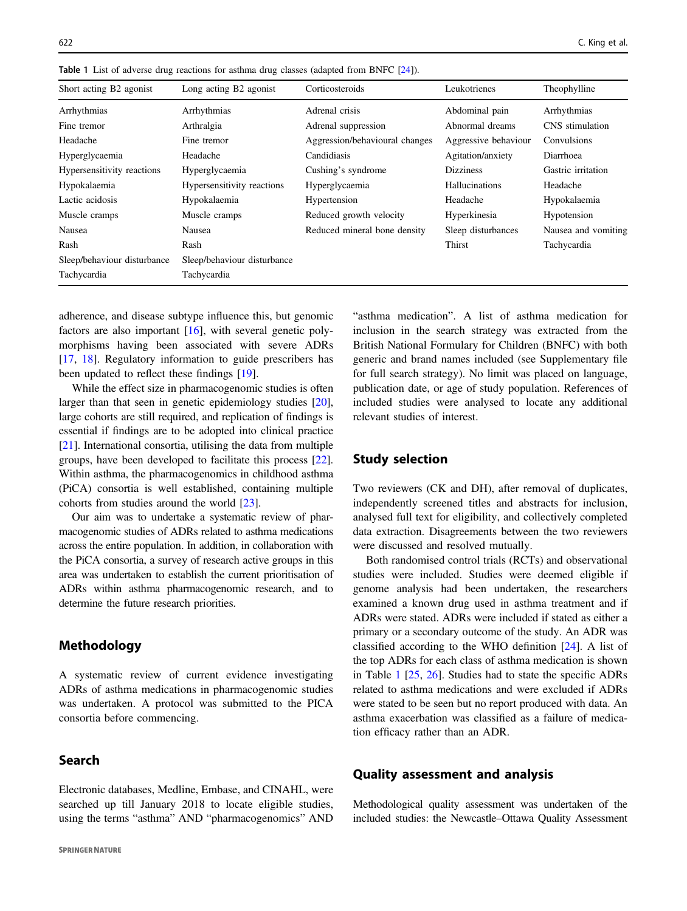| Short acting B2 agonist     | Long acting B2 agonist      | Corticosteroids                | Leukotrienes         | Theophylline        |
|-----------------------------|-----------------------------|--------------------------------|----------------------|---------------------|
| Arrhythmias                 | Arrhythmias                 | Adrenal crisis                 | Abdominal pain       | Arrhythmias         |
| Fine tremor                 | Arthralgia                  | Adrenal suppression            | Abnormal dreams      | CNS stimulation     |
| Headache                    | Fine tremor                 | Aggression/behavioural changes | Aggressive behaviour | Convulsions         |
| Hyperglycaemia              | Headache                    | Candidiasis                    | Agitation/anxiety    | Diarrhoea           |
| Hypersensitivity reactions  | Hyperglycaemia              | Cushing's syndrome             | <b>Dizziness</b>     | Gastric irritation  |
| Hypokalaemia                | Hypersensitivity reactions  | Hyperglycaemia                 | Hallucinations       | Headache            |
| Lactic acidosis             | Hypokalaemia                | Hypertension                   | Headache             | Hypokalaemia        |
| Muscle cramps               | Muscle cramps               | Reduced growth velocity        | Hyperkinesia         | Hypotension         |
| Nausea                      | Nausea                      | Reduced mineral bone density   | Sleep disturbances   | Nausea and vomiting |
| Rash                        | Rash                        |                                | Thirst               | Tachycardia         |
| Sleep/behaviour disturbance | Sleep/behaviour disturbance |                                |                      |                     |
| Tachycardia                 | Tachycardia                 |                                |                      |                     |

<span id="page-1-0"></span>Table 1 List of adverse drug reactions for asthma drug classes (adapted from BNFC [[24](#page-6-0)]).

adherence, and disease subtype influence this, but genomic factors are also important [[16\]](#page-6-0), with several genetic polymorphisms having been associated with severe ADRs [\[17](#page-6-0), [18](#page-6-0)]. Regulatory information to guide prescribers has been updated to reflect these findings [[19\]](#page-6-0).

While the effect size in pharmacogenomic studies is often larger than that seen in genetic epidemiology studies [[20](#page-6-0)], large cohorts are still required, and replication of findings is essential if findings are to be adopted into clinical practice [\[21](#page-6-0)]. International consortia, utilising the data from multiple groups, have been developed to facilitate this process [[22](#page-6-0)]. Within asthma, the pharmacogenomics in childhood asthma (PiCA) consortia is well established, containing multiple cohorts from studies around the world [[23\]](#page-6-0).

Our aim was to undertake a systematic review of pharmacogenomic studies of ADRs related to asthma medications across the entire population. In addition, in collaboration with the PiCA consortia, a survey of research active groups in this area was undertaken to establish the current prioritisation of ADRs within asthma pharmacogenomic research, and to determine the future research priorities.

# Methodology

A systematic review of current evidence investigating ADRs of asthma medications in pharmacogenomic studies was undertaken. A protocol was submitted to the PICA consortia before commencing.

# Search

Electronic databases, Medline, Embase, and CINAHL, were searched up till January 2018 to locate eligible studies, using the terms "asthma" AND "pharmacogenomics" AND

"asthma medication". A list of asthma medication for inclusion in the search strategy was extracted from the British National Formulary for Children (BNFC) with both generic and brand names included (see Supplementary file for full search strategy). No limit was placed on language, publication date, or age of study population. References of included studies were analysed to locate any additional relevant studies of interest.

# Study selection

Two reviewers (CK and DH), after removal of duplicates, independently screened titles and abstracts for inclusion, analysed full text for eligibility, and collectively completed data extraction. Disagreements between the two reviewers were discussed and resolved mutually.

Both randomised control trials (RCTs) and observational studies were included. Studies were deemed eligible if genome analysis had been undertaken, the researchers examined a known drug used in asthma treatment and if ADRs were stated. ADRs were included if stated as either a primary or a secondary outcome of the study. An ADR was classified according to the WHO definition [[24\]](#page-6-0). A list of the top ADRs for each class of asthma medication is shown in Table 1 [\[25](#page-6-0), [26\]](#page-6-0). Studies had to state the specific ADRs related to asthma medications and were excluded if ADRs were stated to be seen but no report produced with data. An asthma exacerbation was classified as a failure of medication efficacy rather than an ADR.

# Quality assessment and analysis

Methodological quality assessment was undertaken of the included studies: the Newcastle–Ottawa Quality Assessment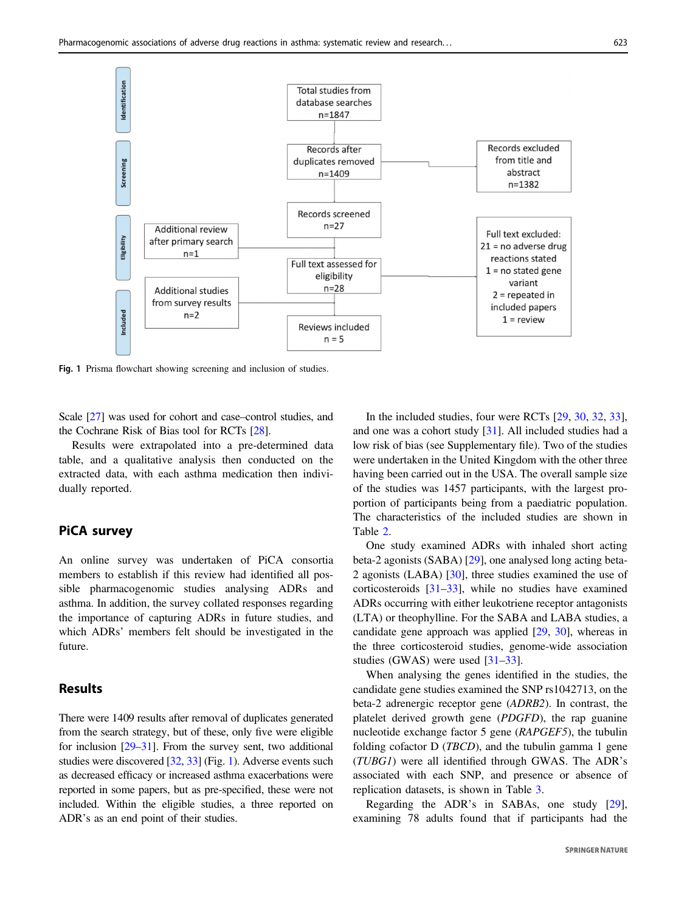

Fig. 1 Prisma flowchart showing screening and inclusion of studies.

Scale [\[27\]](#page-6-0) was used for cohort and case–control studies, and the Cochrane Risk of Bias tool for RCTs [[28\]](#page-6-0).

Results were extrapolated into a pre-determined data table, and a qualitative analysis then conducted on the extracted data, with each asthma medication then individually reported.

#### PiCA survey

An online survey was undertaken of PiCA consortia members to establish if this review had identified all possible pharmacogenomic studies analysing ADRs and asthma. In addition, the survey collated responses regarding the importance of capturing ADRs in future studies, and which ADRs' members felt should be investigated in the future.

### Results

There were 1409 results after removal of duplicates generated from the search strategy, but of these, only five were eligible for inclusion [[29](#page-6-0)–[31](#page-6-0)]. From the survey sent, two additional studies were discovered [[32](#page-6-0), [33\]](#page-6-0) (Fig. 1). Adverse events such as decreased efficacy or increased asthma exacerbations were reported in some papers, but as pre-specified, these were not included. Within the eligible studies, a three reported on ADR's as an end point of their studies.

In the included studies, four were RCTs [[29,](#page-6-0) [30](#page-6-0), [32](#page-6-0), [33\]](#page-6-0), and one was a cohort study [[31\]](#page-6-0). All included studies had a low risk of bias (see Supplementary file). Two of the studies were undertaken in the United Kingdom with the other three having been carried out in the USA. The overall sample size of the studies was 1457 participants, with the largest proportion of participants being from a paediatric population. The characteristics of the included studies are shown in Table [2.](#page-3-0)

One study examined ADRs with inhaled short acting beta-2 agonists (SABA) [\[29](#page-6-0)], one analysed long acting beta-2 agonists (LABA)  $[30]$  $[30]$ , three studies examined the use of corticosteroids [\[31](#page-6-0)–[33](#page-6-0)], while no studies have examined ADRs occurring with either leukotriene receptor antagonists (LTA) or theophylline. For the SABA and LABA studies, a candidate gene approach was applied [\[29](#page-6-0), [30](#page-6-0)], whereas in the three corticosteroid studies, genome-wide association studies (GWAS) were used [\[31](#page-6-0)–[33](#page-6-0)].

When analysing the genes identified in the studies, the candidate gene studies examined the SNP rs1042713, on the beta-2 adrenergic receptor gene (ADRB2). In contrast, the platelet derived growth gene (PDGFD), the rap guanine nucleotide exchange factor 5 gene (RAPGEF5), the tubulin folding cofactor D (*TBCD*), and the tubulin gamma 1 gene (TUBG1) were all identified through GWAS. The ADR's associated with each SNP, and presence or absence of replication datasets, is shown in Table [3.](#page-3-0)

Regarding the ADR's in SABAs, one study [[29\]](#page-6-0), examining 78 adults found that if participants had the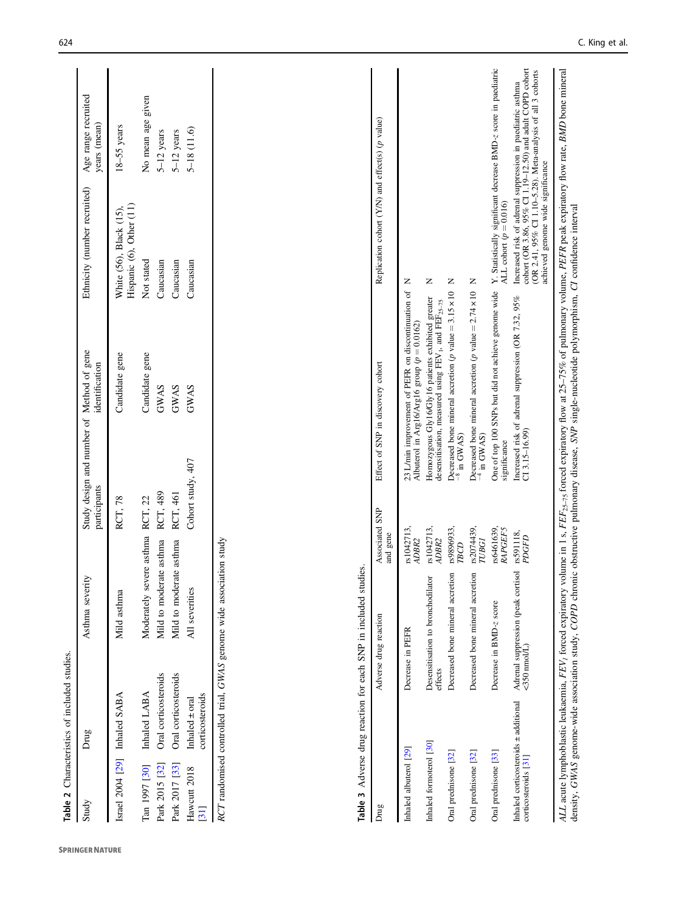<span id="page-3-0"></span>

|                                                              | Table 2 Characteristics of included studies |                                                                     |                            |                                                           |                                                                                                                                  |                                                     |                                                                                                                                                                                        |
|--------------------------------------------------------------|---------------------------------------------|---------------------------------------------------------------------|----------------------------|-----------------------------------------------------------|----------------------------------------------------------------------------------------------------------------------------------|-----------------------------------------------------|----------------------------------------------------------------------------------------------------------------------------------------------------------------------------------------|
| Study                                                        | Drug                                        | Asthma severity                                                     |                            | Study design and number of Method of gene<br>participants | identification                                                                                                                   | Ethnicity (number recruited)                        | Age range recruited<br>years (mean)                                                                                                                                                    |
| Israel 2004 [29]                                             | Inhaled SABA                                | Mild asthma                                                         |                            | RCT, 78                                                   | Candidate gene                                                                                                                   | Hispanic (6), Other (11)<br>White (56), Black (15), | $18-55$ years                                                                                                                                                                          |
| Tan 1997 [30]                                                | Inhaled LABA                                | Moderately severe asthma                                            |                            | RCT, 22                                                   | Candidate gene                                                                                                                   | Not stated                                          | No mean age given                                                                                                                                                                      |
| Park 2015 [32]                                               | Oral corticosteroids                        | Mild to moderate asthma                                             |                            | RCT, 489                                                  | GWAS                                                                                                                             | Caucasian                                           | 5-12 years                                                                                                                                                                             |
| Park 2017 [33]                                               | Oral corticosteroids                        | Mild to moderate asthma                                             |                            | RCT, 461                                                  | GWAS                                                                                                                             | Caucasian                                           | 5-12 years                                                                                                                                                                             |
| Hawcutt 2018<br>[31]                                         | corticosteroids<br>Inhaled $\pm$ oral       | All severities                                                      |                            | Cohort study, 407                                         | GWAS                                                                                                                             | Caucasian                                           | $5 - 18(11.6)$                                                                                                                                                                         |
|                                                              |                                             |                                                                     |                            |                                                           |                                                                                                                                  |                                                     |                                                                                                                                                                                        |
|                                                              |                                             | RCT randomised controlled trial, GWAS genome wide association study |                            |                                                           |                                                                                                                                  |                                                     |                                                                                                                                                                                        |
|                                                              |                                             |                                                                     |                            |                                                           |                                                                                                                                  |                                                     |                                                                                                                                                                                        |
|                                                              |                                             |                                                                     |                            |                                                           |                                                                                                                                  |                                                     |                                                                                                                                                                                        |
|                                                              |                                             | Table 3 Adverse drug reaction for each SNP in included studies.     |                            |                                                           |                                                                                                                                  |                                                     |                                                                                                                                                                                        |
| Drug                                                         |                                             | Adverse drug reaction                                               | Associated SNP<br>and gene | Effect of SNP in discovery cohort                         |                                                                                                                                  | Replication cohort (Y/N) and effect(s) $(p$ value)  |                                                                                                                                                                                        |
| Inhaled albuterol [29]                                       |                                             | Decrease in PEFR                                                    | rs1042713<br>ADBR2         |                                                           | 23 L/min improvement of PEFR on discontinuation of<br>Albuterol in Arg16/Arg16 group $(p = 0.0162)$                              | z                                                   |                                                                                                                                                                                        |
| Inhaled formoterol [30]                                      |                                             | Desensitisation to bronchodilator<br>effects                        | rs1042713<br>ADBR2         |                                                           | Homozygous Gly16/Gly16 patients exhibited greater<br>desensitisation, measured using FEV <sub>1</sub> , and FEF <sub>25-75</sub> | z                                                   |                                                                                                                                                                                        |
| Oral prednisone [32]                                         |                                             | Decreased bone mineral accretion                                    | rs9896933<br>TBCD          | $^{-8}$ in GWAS)                                          | Decreased bone mineral accretion ( $p$ value = 3.15 x 10                                                                         | Z                                                   |                                                                                                                                                                                        |
| Oral prednisone [32]                                         |                                             | Decreased bone mineral accretion                                    | rs2074439<br><b>TUBG1</b>  | $-4$ in GWAS)                                             | Decreased bone mineral accretion (p value = $2.74 \times 10$ )                                                                   | Z                                                   |                                                                                                                                                                                        |
| Oral prednisone [33]                                         |                                             | Decrease in BMD-z score                                             | rs6461639<br>RAPGEFS       | significance                                              | One of top 100 SNPs but did not achieve genome wide                                                                              | ALL cohort $(p = 0.016)$                            | Y. Statistically significant decrease BMD-z score in paediatric                                                                                                                        |
| Inhaled corticosteroids ± additional<br>corticosteroids [31] |                                             | Adrenal suppression (peak cortisol<br>$<$ 350 nmol $L$ )            | rs591118,<br>PDGFD         | $C13.15 - 16.99$                                          | Increased risk of adrenal suppression (OR 7.32, 95%                                                                              | achieved genome wide significance                   | Increased risk of adrenal suppression in paediatric asthma<br>cohort (OR 3.86, 95% CI 1.19-12.50) and adult COPD cohort<br>(OR 2.41, 95% CI 1.10-5.28). Meta-analysis of all 3 cohorts |

ALL acute lymphoblastic leukaemia, FEV<sub>1</sub> forced expiratory volume in 1 s, FEF<sub>25-75</sub> forced expiratory flow at 25-75% of pulmonary volume, PEFR peak expiratory flow rate, BMD bone mineral<br>density, GWAS genome-wide associa ALL acute lymphoblastic leukaemia, FEV<sub>1</sub> forced expiratory volume in 1 s, FEF<sub>35–75</sub> forced expiratory flow at 25–75% of pulmonary volume, PEFR peak expiratory flow rate, BMD bone mineral density, GWAS genome-wide association study, COPD chronic obstructive pulmonary disease, SNP single-nucleotide polymorphism, CI confidence interval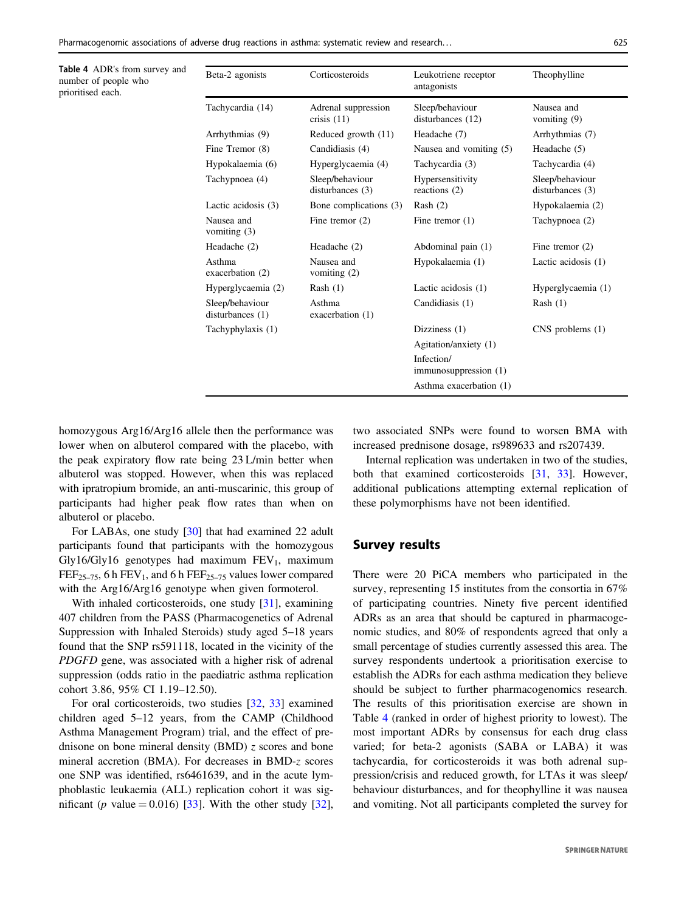Pharmacogenomic associations of adverse drug reactions in asthma: systematic review and research. . . 625

Table 4 ADR's from survey and number of people who prioritised each.

| Beta-2 agonists                     | Corticosteroids                      | Leukotriene receptor<br>antagonists  | Theophylline                        |
|-------------------------------------|--------------------------------------|--------------------------------------|-------------------------------------|
| Tachycardia (14)                    | Adrenal suppression<br>crisis $(11)$ | Sleep/behaviour<br>disturbances (12) | Nausea and<br>vomiting (9)          |
| Arrhythmias (9)                     | Reduced growth (11)                  | Headache (7)                         | Arrhythmias (7)                     |
| Fine Tremor (8)                     | Candidiasis (4)                      | Nausea and vomiting (5)              | Headache (5)                        |
| Hypokalaemia (6)                    | Hyperglycaemia (4)                   | Tachycardia (3)                      | Tachycardia (4)                     |
| Tachypnoea (4)                      | Sleep/behaviour<br>disturbances (3)  | Hypersensitivity<br>reactions $(2)$  | Sleep/behaviour<br>disturbances (3) |
| Lactic acidosis (3)                 | Bone complications (3)               | Rash $(2)$                           | Hypokalaemia (2)                    |
| Nausea and<br>vomiting $(3)$        | Fine tremor $(2)$                    | Fine tremor $(1)$                    | Tachypnoea (2)                      |
| Headache (2)                        | Headache (2)                         | Abdominal pain (1)                   | Fine tremor $(2)$                   |
| Asthma<br>exacerbation (2)          | Nausea and<br>vomiting $(2)$         | Hypokalaemia (1)                     | Lactic acidosis $(1)$               |
| Hyperglycaemia (2)                  | Rash $(1)$                           | Lactic acidosis $(1)$                | Hyperglycaemia (1)                  |
| Sleep/behaviour<br>disturbances (1) | Asthma<br>exacerbation (1)           | Candidiasis (1)                      | Rash $(1)$                          |
| Tachyphylaxis (1)                   |                                      | Dizziness $(1)$                      | $CNS$ problems $(1)$                |
|                                     |                                      | Agitation/anxiety (1)                |                                     |
|                                     |                                      | Infection/<br>immunosuppression (1)  |                                     |
|                                     |                                      | Asthma exacerbation (1)              |                                     |

homozygous Arg16/Arg16 allele then the performance was lower when on albuterol compared with the placebo, with the peak expiratory flow rate being 23 L/min better when albuterol was stopped. However, when this was replaced with ipratropium bromide, an anti-muscarinic, this group of participants had higher peak flow rates than when on albuterol or placebo.

For LABAs, one study [\[30\]](#page-6-0) that had examined 22 adult participants found that participants with the homozygous Gly16/Gly16 genotypes had maximum  $FEV<sub>1</sub>$ , maximum  $FEF_{25-75}$ , 6 h  $FEV_1$ , and 6 h  $FEF_{25-75}$  values lower compared with the Arg16/Arg16 genotype when given formoterol.

With inhaled corticosteroids, one study [\[31](#page-6-0)], examining 407 children from the PASS (Pharmacogenetics of Adrenal Suppression with Inhaled Steroids) study aged 5–18 years found that the SNP rs591118, located in the vicinity of the PDGFD gene, was associated with a higher risk of adrenal suppression (odds ratio in the paediatric asthma replication cohort 3.86, 95% CI 1.19–12.50).

For oral corticosteroids, two studies [\[32](#page-6-0), [33](#page-6-0)] examined children aged 5–12 years, from the CAMP (Childhood Asthma Management Program) trial, and the effect of prednisone on bone mineral density (BMD)  $z$  scores and bone mineral accretion (BMA). For decreases in BMD-z scores one SNP was identified, rs6461639, and in the acute lymphoblastic leukaemia (ALL) replication cohort it was significant (*p* value = 0.016) [\[33](#page-6-0)]. With the other study [\[32](#page-6-0)],

two associated SNPs were found to worsen BMA with increased prednisone dosage, rs989633 and rs207439.

Internal replication was undertaken in two of the studies, both that examined corticosteroids [\[31](#page-6-0), [33](#page-6-0)]. However, additional publications attempting external replication of these polymorphisms have not been identified.

#### Survey results

There were 20 PiCA members who participated in the survey, representing 15 institutes from the consortia in 67% of participating countries. Ninety five percent identified ADRs as an area that should be captured in pharmacogenomic studies, and 80% of respondents agreed that only a small percentage of studies currently assessed this area. The survey respondents undertook a prioritisation exercise to establish the ADRs for each asthma medication they believe should be subject to further pharmacogenomics research. The results of this prioritisation exercise are shown in Table 4 (ranked in order of highest priority to lowest). The most important ADRs by consensus for each drug class varied; for beta-2 agonists (SABA or LABA) it was tachycardia, for corticosteroids it was both adrenal suppression/crisis and reduced growth, for LTAs it was sleep/ behaviour disturbances, and for theophylline it was nausea and vomiting. Not all participants completed the survey for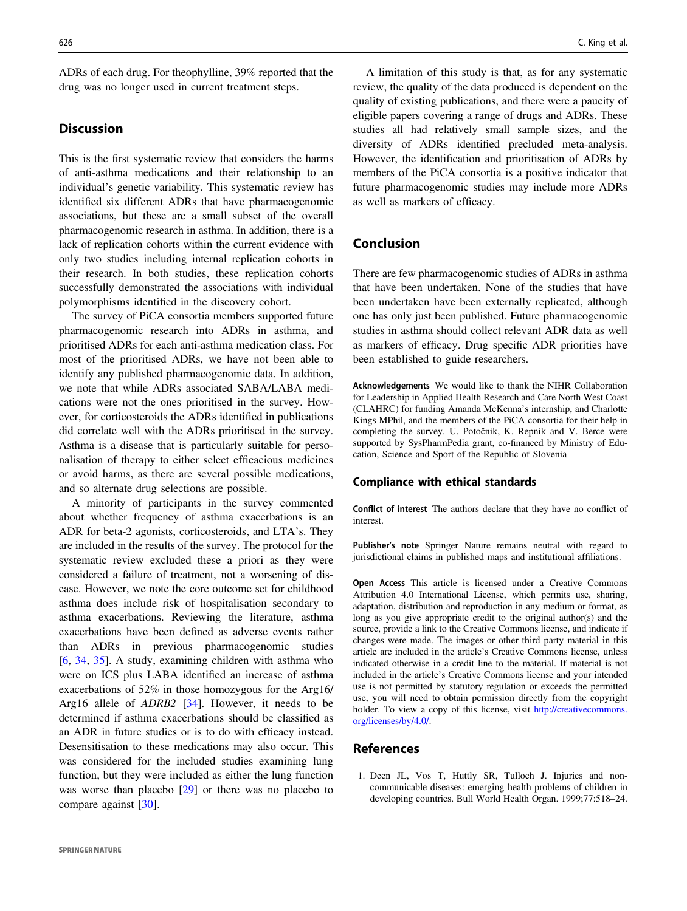<span id="page-5-0"></span>ADRs of each drug. For theophylline, 39% reported that the drug was no longer used in current treatment steps.

# **Discussion**

This is the first systematic review that considers the harms of anti-asthma medications and their relationship to an individual's genetic variability. This systematic review has identified six different ADRs that have pharmacogenomic associations, but these are a small subset of the overall pharmacogenomic research in asthma. In addition, there is a lack of replication cohorts within the current evidence with only two studies including internal replication cohorts in their research. In both studies, these replication cohorts successfully demonstrated the associations with individual polymorphisms identified in the discovery cohort.

The survey of PiCA consortia members supported future pharmacogenomic research into ADRs in asthma, and prioritised ADRs for each anti-asthma medication class. For most of the prioritised ADRs, we have not been able to identify any published pharmacogenomic data. In addition, we note that while ADRs associated SABA/LABA medications were not the ones prioritised in the survey. However, for corticosteroids the ADRs identified in publications did correlate well with the ADRs prioritised in the survey. Asthma is a disease that is particularly suitable for personalisation of therapy to either select efficacious medicines or avoid harms, as there are several possible medications, and so alternate drug selections are possible.

A minority of participants in the survey commented about whether frequency of asthma exacerbations is an ADR for beta-2 agonists, corticosteroids, and LTA's. They are included in the results of the survey. The protocol for the systematic review excluded these a priori as they were considered a failure of treatment, not a worsening of disease. However, we note the core outcome set for childhood asthma does include risk of hospitalisation secondary to asthma exacerbations. Reviewing the literature, asthma exacerbations have been defined as adverse events rather than ADRs in previous pharmacogenomic studies [\[6](#page-6-0), [34](#page-6-0), [35](#page-6-0)]. A study, examining children with asthma who were on ICS plus LABA identified an increase of asthma exacerbations of 52% in those homozygous for the Arg16/ Arg16 allele of ADRB2 [[34\]](#page-6-0). However, it needs to be determined if asthma exacerbations should be classified as an ADR in future studies or is to do with efficacy instead. Desensitisation to these medications may also occur. This was considered for the included studies examining lung function, but they were included as either the lung function was worse than placebo [\[29](#page-6-0)] or there was no placebo to compare against [[30\]](#page-6-0).

A limitation of this study is that, as for any systematic review, the quality of the data produced is dependent on the quality of existing publications, and there were a paucity of eligible papers covering a range of drugs and ADRs. These studies all had relatively small sample sizes, and the diversity of ADRs identified precluded meta-analysis. However, the identification and prioritisation of ADRs by members of the PiCA consortia is a positive indicator that future pharmacogenomic studies may include more ADRs as well as markers of efficacy.

# Conclusion

There are few pharmacogenomic studies of ADRs in asthma that have been undertaken. None of the studies that have been undertaken have been externally replicated, although one has only just been published. Future pharmacogenomic studies in asthma should collect relevant ADR data as well as markers of efficacy. Drug specific ADR priorities have been established to guide researchers.

Acknowledgements We would like to thank the NIHR Collaboration for Leadership in Applied Health Research and Care North West Coast (CLAHRC) for funding Amanda McKenna's internship, and Charlotte Kings MPhil, and the members of the PiCA consortia for their help in completing the survey. U. Potočnik, K. Repnik and V. Berce were supported by SysPharmPedia grant, co-financed by Ministry of Education, Science and Sport of the Republic of Slovenia

#### Compliance with ethical standards

Conflict of interest The authors declare that they have no conflict of interest.

Publisher's note Springer Nature remains neutral with regard to jurisdictional claims in published maps and institutional affiliations.

Open Access This article is licensed under a Creative Commons Attribution 4.0 International License, which permits use, sharing, adaptation, distribution and reproduction in any medium or format, as long as you give appropriate credit to the original author(s) and the source, provide a link to the Creative Commons license, and indicate if changes were made. The images or other third party material in this article are included in the article's Creative Commons license, unless indicated otherwise in a credit line to the material. If material is not included in the article's Creative Commons license and your intended use is not permitted by statutory regulation or exceeds the permitted use, you will need to obtain permission directly from the copyright holder. To view a copy of this license, visit [http://creativecommons.](http://creativecommons.org/licenses/by/4.0/) [org/licenses/by/4.0/](http://creativecommons.org/licenses/by/4.0/).

# References

1. Deen JL, Vos T, Huttly SR, Tulloch J. Injuries and noncommunicable diseases: emerging health problems of children in developing countries. Bull World Health Organ. 1999;77:518–24.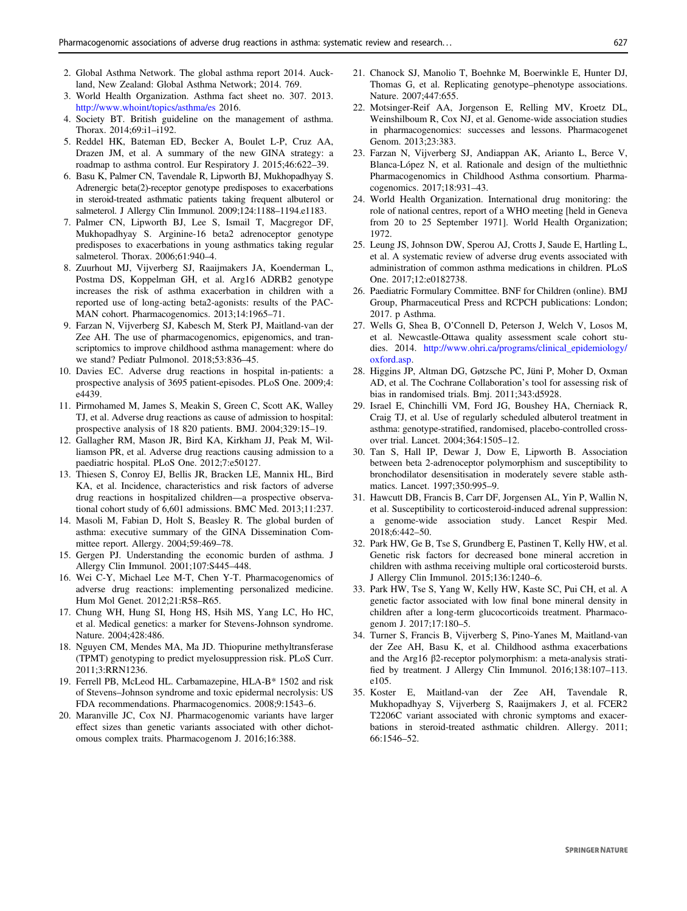- <span id="page-6-0"></span>3. World Health Organization. Asthma fact sheet no. 307. 2013. <http://www.whoint/topics/asthma/es> 2016.
- 4. Society BT. British guideline on the management of asthma. Thorax. 2014;69:i1–i192.
- 5. Reddel HK, Bateman ED, Becker A, Boulet L-P, Cruz AA, Drazen JM, et al. A summary of the new GINA strategy: a roadmap to asthma control. Eur Respiratory J. 2015;46:622–39.
- 6. Basu K, Palmer CN, Tavendale R, Lipworth BJ, Mukhopadhyay S. Adrenergic beta(2)-receptor genotype predisposes to exacerbations in steroid-treated asthmatic patients taking frequent albuterol or salmeterol. J Allergy Clin Immunol. 2009;124:1188–1194.e1183.
- 7. Palmer CN, Lipworth BJ, Lee S, Ismail T, Macgregor DF, Mukhopadhyay S. Arginine-16 beta2 adrenoceptor genotype predisposes to exacerbations in young asthmatics taking regular salmeterol. Thorax. 2006;61:940–4.
- 8. Zuurhout MJ, Vijverberg SJ, Raaijmakers JA, Koenderman L, Postma DS, Koppelman GH, et al. Arg16 ADRB2 genotype increases the risk of asthma exacerbation in children with a reported use of long-acting beta2-agonists: results of the PAC-MAN cohort. Pharmacogenomics. 2013;14:1965–71.
- 9. Farzan N, Vijverberg SJ, Kabesch M, Sterk PJ, Maitland‐van der Zee AH. The use of pharmacogenomics, epigenomics, and transcriptomics to improve childhood asthma management: where do we stand? Pediatr Pulmonol. 2018;53:836–45.
- 10. Davies EC. Adverse drug reactions in hospital in-patients: a prospective analysis of 3695 patient-episodes. PLoS One. 2009;4: e4439.
- 11. Pirmohamed M, James S, Meakin S, Green C, Scott AK, Walley TJ, et al. Adverse drug reactions as cause of admission to hospital: prospective analysis of 18 820 patients. BMJ. 2004;329:15–19.
- 12. Gallagher RM, Mason JR, Bird KA, Kirkham JJ, Peak M, Williamson PR, et al. Adverse drug reactions causing admission to a paediatric hospital. PLoS One. 2012;7:e50127.
- 13. Thiesen S, Conroy EJ, Bellis JR, Bracken LE, Mannix HL, Bird KA, et al. Incidence, characteristics and risk factors of adverse drug reactions in hospitalized children—a prospective observational cohort study of 6,601 admissions. BMC Med. 2013;11:237.
- 14. Masoli M, Fabian D, Holt S, Beasley R. The global burden of asthma: executive summary of the GINA Dissemination Committee report. Allergy. 2004;59:469–78.
- 15. Gergen PJ. Understanding the economic burden of asthma. J Allergy Clin Immunol. 2001;107:S445–448.
- 16. Wei C-Y, Michael Lee M-T, Chen Y-T. Pharmacogenomics of adverse drug reactions: implementing personalized medicine. Hum Mol Genet. 2012;21:R58–R65.
- 17. Chung WH, Hung SI, Hong HS, Hsih MS, Yang LC, Ho HC, et al. Medical genetics: a marker for Stevens-Johnson syndrome. Nature. 2004;428:486.
- 18. Nguyen CM, Mendes MA, Ma JD. Thiopurine methyltransferase (TPMT) genotyping to predict myelosuppression risk. PLoS Curr. 2011;3:RRN1236.
- 19. Ferrell PB, McLeod HL. Carbamazepine, HLA-B\* 1502 and risk of Stevens–Johnson syndrome and toxic epidermal necrolysis: US FDA recommendations. Pharmacogenomics. 2008;9:1543–6.
- 20. Maranville JC, Cox NJ. Pharmacogenomic variants have larger effect sizes than genetic variants associated with other dichotomous complex traits. Pharmacogenom J. 2016;16:388.
- 21. Chanock SJ, Manolio T, Boehnke M, Boerwinkle E, Hunter DJ, Thomas G, et al. Replicating genotype–phenotype associations. Nature. 2007;447:655.
- 22. Motsinger-Reif AA, Jorgenson E, Relling MV, Kroetz DL, Weinshilboum R, Cox NJ, et al. Genome-wide association studies in pharmacogenomics: successes and lessons. Pharmacogenet Genom. 2013;23:383.
- 23. Farzan N, Vijverberg SJ, Andiappan AK, Arianto L, Berce V, Blanca-López N, et al. Rationale and design of the multiethnic Pharmacogenomics in Childhood Asthma consortium. Pharmacogenomics. 2017;18:931–43.
- 24. World Health Organization. International drug monitoring: the role of national centres, report of a WHO meeting [held in Geneva from 20 to 25 September 1971]. World Health Organization; 1972.
- 25. Leung JS, Johnson DW, Sperou AJ, Crotts J, Saude E, Hartling L, et al. A systematic review of adverse drug events associated with administration of common asthma medications in children. PLoS One. 2017;12:e0182738.
- 26. Paediatric Formulary Committee. BNF for Children (online). BMJ Group, Pharmaceutical Press and RCPCH publications: London; 2017. p Asthma.
- 27. Wells G, Shea B, O'Connell D, Peterson J, Welch V, Losos M, et al. Newcastle-Ottawa quality assessment scale cohort studies. 2014. [http://www.ohri.ca/programs/clinical\\_epidemiology/](http://www.ohri.ca/programs/clinical_epidemiology/oxford.asp) [oxford.asp.](http://www.ohri.ca/programs/clinical_epidemiology/oxford.asp)
- 28. Higgins JP, Altman DG, Gøtzsche PC, Jüni P, Moher D, Oxman AD, et al. The Cochrane Collaboration's tool for assessing risk of bias in randomised trials. Bmj. 2011;343:d5928.
- 29. Israel E, Chinchilli VM, Ford JG, Boushey HA, Cherniack R, Craig TJ, et al. Use of regularly scheduled albuterol treatment in asthma: genotype-stratified, randomised, placebo-controlled crossover trial. Lancet. 2004;364:1505–12.
- 30. Tan S, Hall IP, Dewar J, Dow E, Lipworth B. Association between beta 2-adrenoceptor polymorphism and susceptibility to bronchodilator desensitisation in moderately severe stable asthmatics. Lancet. 1997;350:995–9.
- 31. Hawcutt DB, Francis B, Carr DF, Jorgensen AL, Yin P, Wallin N, et al. Susceptibility to corticosteroid-induced adrenal suppression: a genome-wide association study. Lancet Respir Med. 2018;6:442–50.
- 32. Park HW, Ge B, Tse S, Grundberg E, Pastinen T, Kelly HW, et al. Genetic risk factors for decreased bone mineral accretion in children with asthma receiving multiple oral corticosteroid bursts. J Allergy Clin Immunol. 2015;136:1240–6.
- 33. Park HW, Tse S, Yang W, Kelly HW, Kaste SC, Pui CH, et al. A genetic factor associated with low final bone mineral density in children after a long-term glucocorticoids treatment. Pharmacogenom J. 2017;17:180–5.
- 34. Turner S, Francis B, Vijverberg S, Pino-Yanes M, Maitland-van der Zee AH, Basu K, et al. Childhood asthma exacerbations and the Arg16 β2-receptor polymorphism: a meta-analysis stratified by treatment. J Allergy Clin Immunol. 2016;138:107–113. e105.
- 35. Koster E, Maitland‐van der Zee AH, Tavendale R, Mukhopadhyay S, Vijverberg S, Raaijmakers J, et al. FCER2 T2206C variant associated with chronic symptoms and exacerbations in steroid‐treated asthmatic children. Allergy. 2011; 66:1546–52.